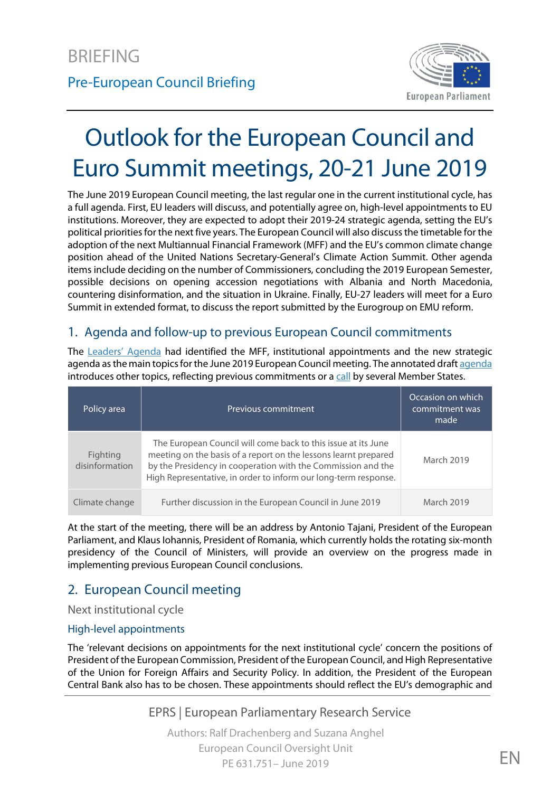

# Outlook for the European Council and Euro Summit meetings, 20-21 June 2019

The June 2019 European Council meeting, the last regular one in the current institutional cycle, has a full agenda. First, EU leaders will discuss, and potentially agree on, high-level appointments to EU institutions. Moreover, they are expected to adopt their 2019-24 strategic agenda, setting the EU's political priorities for the next five years. The European Council will also discuss the timetable for the adoption of the next Multiannual Financial Framework (MFF) and the EU's common climate change position ahead of the United Nations Secretary-General's Climate Action Summit. Other agenda items include deciding on the number of Commissioners, concluding the 2019 European Semester, possible decisions on opening accession negotiations with Albania and North Macedonia, countering disinformation, and the situation in Ukraine. Finally, EU-27 leaders will meet for a Euro Summit in extended format, to discuss the report submitted by the Eurogroup on EMU reform.

### 1. Agenda and follow-up to previous European Council commitments

The [Leaders' Agenda](https://www.consilium.europa.eu/en/infographics/leaders-agenda/) had identified the MFF, institutional appointments and the new strategic [agenda](https://data.consilium.europa.eu/doc/document/ST-8939-2019-INIT/en/pdf) as the main topics for the June 2019 European Council meeting. The annotated draft agenda introduces other topics, reflecting previous commitments or [a call](https://www.gov.pl/web/diplomacy/joint-statement-of-the-foreign-ministers-on-the-eu-commitment-to-the-western-balkans-european-integration) by several Member States.

| Policy area                | Previous commitment                                                                                                                                                                                                                                                 | Occasion on which<br>commitment was<br>made' |
|----------------------------|---------------------------------------------------------------------------------------------------------------------------------------------------------------------------------------------------------------------------------------------------------------------|----------------------------------------------|
| Fighting<br>disinformation | The European Council will come back to this issue at its June<br>meeting on the basis of a report on the lessons learnt prepared<br>by the Presidency in cooperation with the Commission and the<br>High Representative, in order to inform our long-term response. | March 2019                                   |
| Climate change             | Further discussion in the European Council in June 2019                                                                                                                                                                                                             | March 2019                                   |

At the start of the meeting, there will be an address by Antonio Tajani, President of the European Parliament, and Klaus Iohannis, President of Romania, which currently holds the rotating six-month presidency of the Council of Ministers, will provide an overview on the progress made in implementing previous European Council conclusions.

# 2. European Council meeting

Next institutional cycle

#### High-level appointments

The 'relevant decisions on appointments for the next institutional cycle' concern the positions of President of the European Commission, President of the European Council, and High Representative of the Union for Foreign Affairs and Security Policy. In addition, the President of the European Central Bank also has to be chosen. These appointments should reflect the EU's demographic and

EPRS | European Parliamentary Research Service

Authors: Ralf Drachenberg and Suzana Anghel European Council Oversight Unit  $PE 631.751 - June 2019$   $EN$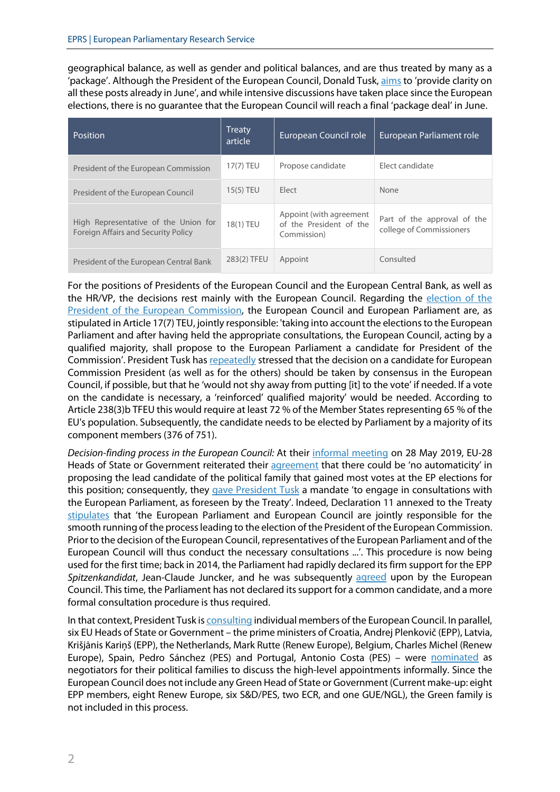geographical balance, as well as gender and political balances, and are thus treated by many as a 'package'. Although the President of the European Council, Donald Tusk, [aims](https://audiovisual.ec.europa.eu/en/video/I-171914) to 'provide clarity on all these posts already in June', and while intensive discussions have taken place since the European elections, there is no guarantee that the European Council will reach a final 'package deal' in June.

| <b>Position</b>                                                             | <b>Treaty</b><br>article | European Council role                                             | European Parliament role                                |
|-----------------------------------------------------------------------------|--------------------------|-------------------------------------------------------------------|---------------------------------------------------------|
| President of the European Commission                                        | 17(7) TEU                | Propose candidate                                                 | Elect candidate                                         |
| President of the European Council                                           | $15(5)$ TEU              | Elect                                                             | None                                                    |
| High Representative of the Union for<br>Foreign Affairs and Security Policy | 18(1) TEU                | Appoint (with agreement<br>of the President of the<br>Commission) | Part of the approval of the<br>college of Commissioners |
| President of the European Central Bank                                      | 283(2) TFEU              | Appoint                                                           | Consulted                                               |

For the positions of Presidents of the European Council and the European Central Bank, as well as the HR/VP, the decisions rest mainly with the European Council. Regarding the [election of the](http://www.europarl.europa.eu/RegData/etudes/BRIE/2018/630264/EPRS_BRI(2018)630264_EN.pdf)  [President of the European Commission,](http://www.europarl.europa.eu/RegData/etudes/BRIE/2018/630264/EPRS_BRI(2018)630264_EN.pdf) the European Council and European Parliament are, as stipulated in Article 17(7) TEU, jointly responsible: 'taking into account the elections to the European Parliament and after having held the appropriate consultations, the European Council, acting by a qualified majority, shall propose to the European Parliament a candidate for President of the Commission'. President Tusk has [repeatedly](https://www.consilium.europa.eu/en/press/press-releases/2019/05/09/remarks-by-president-donald-tusk-at-the-press-conference-of-the-informal-summit-in-sibiu/) stressed that the decision on a candidate for European Commission President (as well as for the others) should be taken by consensus in the European Council, if possible, but that he 'would not shy away from putting [it] to the vote' if needed. If a vote on the candidate is necessary, a 'reinforced' qualified majority' would be needed. According to Article 238(3)b TFEU this would require at least 72 % of the Member States representing 65 % of the EU's population. Subsequently, the candidate needs to be elected by Parliament by a majority of its component members (376 of 751).

*Decision-finding process in the European Council:* At their [informal meeting](http://www.europarl.europa.eu/RegData/etudes/ATAG/2019/631750/EPRS_ATA(2019)631750_EN.pdf) on 28 May 2019, EU-28 Heads of State or Government reiterated their [agreement](https://www.consilium.europa.eu/en/press/press-releases/2019/05/28/remarks-by-president-donald-tusk-at-the-press-conference-of-the-informal-summit-of-eu-heads-of-state-or-government/) that there could be 'no automaticity' in proposing the lead candidate of the political family that gained most votes at the EP elections for this position; consequently, they [gave President Tusk](https://www.consilium.europa.eu/en/media-galleries/european-council/meetings/2019-05-28-informal-dinner/?slide=0) a mandate 'to engage in consultations with the European Parliament, as foreseen by the Treaty'. Indeed, Declaration 11 annexed to the Treaty [stipulates](https://eur-lex.europa.eu/resource.html?uri=cellar:2bf140bf-a3f8-4ab2-b506-fd71826e6da6.0023.02/DOC_5&format=PDF) that 'the European Parliament and European Council are jointly responsible for the smooth running of the process leading to the election of the President of the European Commission. Prior to the decision of the European Council, representatives of the European Parliament and of the European Council will thus conduct the necessary consultations ...'. This procedure is now being used for the first time; back in 2014, the Parliament had rapidly declared its firm support for the EPP *Spitzenkandidat*, Jean-Claude Juncker, and he was subsequently [agreed](https://www.consilium.europa.eu/uedocs/cms_Data/docs/pressdata/en/ec/143478.pdf) upon by the European Council. Thistime, the Parliament has not declared its support for a common candidate, and a more formal consultation procedure is thus required.

In that context, President Tusk is [consulting](https://www.consilium.europa.eu/fr/european-council/president/news/20190613-pec-consultations-nominations/) individual members of the European Council. In parallel, six EU Heads of State or Government – the prime ministers of Croatia, Andrej Plenkovič (EPP), Latvia, Krišjānis Kariņš (EPP), the Netherlands, Mark Rutte (Renew Europe), Belgium, Charles Michel (Renew Europe), Spain, Pedro Sánchez (PES) and Portugal, Antonio Costa (PES) - were [nominated](https://tvnewsroom.consilium.europa.eu/permalink/210125) as negotiators for their political families to discuss the high-level appointments informally. Since the European Council does not include any Green Head of State or Government (Current make-up: eight EPP members, eight Renew Europe, six S&D/PES, two ECR, and one GUE/NGL), the Green family is not included in this process.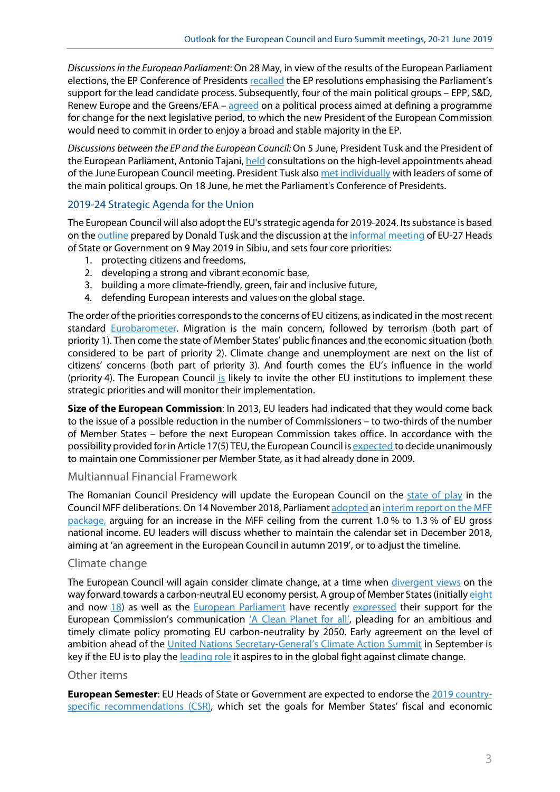*Discussions in the European Parliament*: On 28 May, in view of the results of the European Parliament elections, the EP Conference of Presidents [recalled](https://www.europarl.europa.eu/news/en/press-room/20190528IPR53302/conference-of-presidents-statement) the EP resolutions emphasising the Parliament's support for the lead candidate process. Subsequently, four of the main political groups – EPP, S&D, Renew Europe and the Greens/EFA –  $\frac{1}{2}$  [agreed](https://www.greens-efa.eu/en/article/press/leaders-of-four-main-political-groups-agree-on-political-process/) on a political process aimed at defining a programme for change for the next legislative period, to which the new President of the European Commission would need to commit in order to enjoy a broad and stable majority in the EP.

*Discussions between the EP and the European Council:* On 5 June, President Tusk and the President of the European Parliament, Antonio Tajani[, held](https://twitter.com/eucopresident/status/1136294296309645312) consultations on the high-level appointments ahead of the June European Council meeting. President Tusk also [met individually](https://www.consilium.europa.eu/en/press/press-releases/2019/06/07/weekly-schedule-of-president-donald-tusk/) with leaders of some of the main political groups. On 18 June, he met the Parliament's Conference of Presidents.

#### 2019-24 Strategic Agenda for the Union

The European Council will also adopt the EU's strategic agenda for 2019-2024. Its substance is based on the [outline](https://www.consilium.europa.eu/media/39263/strategic-agenda-09-05-19.pdf) prepared by Donald Tusk and the discussion at the [informal meeting](https://www.europarl.europa.eu/RegData/etudes/BRIE/2019/631747/EPRS_BRI(2019)631747_EN.pdf) of EU-27 Heads of State or Government on 9 May 2019 in Sibiu, and sets four core priorities:

- 1. protecting citizens and freedoms,
- 2. developing a strong and vibrant economic base,
- 3. building a more climate-friendly, green, fair and inclusive future,
- 4. defending European interests and values on the global stage.

The order of the priorities corresponds to the concerns of EU citizens, as indicated in the most recent standard [Eurobarometer.](http://ec.europa.eu/commfrontoffice/publicopinion/index.cfm/Survey/getSurveyDetail/instruments/STANDARD/surveyKy/2215) Migration is the main concern, followed by terrorism (both part of priority 1). Then come the state of Member States' public finances and the economic situation (both considered to be part of priority 2). Climate change and unemployment are next on the list of citizens' concerns (both part of priority 3). And fourth comes the EU's influence in the world (priority 4). The European Council [is](https://www.euractiv.com/wp-content/uploads/sites/2/2019/06/Draft-EU-Strategic-Agenda.pdf) likely to invite the other EU institutions to implement these strategic priorities and will monitor their implementation.

**Size of the European Commission**: In 2013, EU leaders had indicated that they would come back to the issue of a possible reduction in the number of Commissioners – to two-thirds of the number of Member States – before the next European Commission takes office. In accordance with the possibility provided forin Article 17(5) TEU, the European Council i[s expected](https://www.euractiv.com/section/future-eu/news/eu-leaders-to-kill-smaller-commission-in-june-summit/) to decide unanimously to maintain one Commissioner per Member State, as it had already done in 2009.

#### Multiannual Financial Framework

The Romanian Council Presidency will update the European Council on the [state of play](http://www.europarl.europa.eu/legislative-train/theme-new-boost-for-jobs-growth-and-investment/file-mff-2021-2027-mff/05-2019) in the Council MFF deliberations. On 14 November 2018, Parliamen[t adopted](https://www.europarl.europa.eu/doceo/document/TA-8-2018-0449_EN.html) an [interim report on the MFF](http://www.europarl.europa.eu/RegData/etudes/ATAG/2018/630262/EPRS_ATA(2018)630262_EN.pdf)  [package,](http://www.europarl.europa.eu/RegData/etudes/ATAG/2018/630262/EPRS_ATA(2018)630262_EN.pdf) arguing for an increase in the MFF ceiling from the current 1.0 % to 1.3 % of EU gross national income. EU leaders will discuss whether to maintain the calendar set in December 2018, aiming at 'an agreement in the European Council in autumn 2019', or to adjust the timeline.

#### Climate change

The European Council will again consider climate change, at a time when [divergent views](http://www.europarl.europa.eu/RegData/etudes/BRIE/2019/631740/EPRS_BRI(2019)631740_EN.pdf) on the way forward towards a carbon-neutral EU economy persist. A group of Member States (initiall[y eight](https://www.euractiv.com/wp-content/uploads/sites/2/2019/05/Non-paper-Climate-FR-SE-PT-DK-LU-ES-NL-BE.pdf) and now [18\)](https://www.euractiv.com/section/climate-strategy-2050/news/18-eu-countries-sign-up-to-2050-carbon-neutrality-goal/) as well as the [European Parliament](http://www.europarl.europa.eu/doceo/document/TA-8-2019-0217_EN.html?redirect) have recently [expressed](https://www.euractiv.com/wp-content/uploads/sites/2/2019/05/Non-paper-Climate-FR-SE-PT-DK-LU-ES-NL-BE.pdf) their support for the European Commission's communication ['A Clean Planet for all',](https://ec.europa.eu/clima/sites/clima/files/docs/pages/com_2018_733_en.pdf) pleading for an ambitious and timely climate policy promoting EU carbon-neutrality by 2050. Early agreement on the level of ambition ahead of the [United Nations Secretary-General's Climate Action Summit](file://EPRSBRUSNVF01/Users$/sanghel/Desktop/United%20Nations%20Secretary-General%E2%80%99s%20Climate%20Action%20Summit) in September is key if the EU is to play the [leading role](https://www.euractiv.com/section/energy/news/as-america-retreats-on-climate-china-and-russia-confirm-commitments/) it aspires to in the global fight against climate change.

#### Other items

**European Semester**: EU Heads of State or Government are expected to endorse th[e 2019 country](https://ec.europa.eu/info/publications/2019-european-semester-country-specific-recommendations-council-recommendations_en)[specific recommendations \(CSR\),](https://ec.europa.eu/info/publications/2019-european-semester-country-specific-recommendations-council-recommendations_en) which set the goals for Member States' fiscal and economic